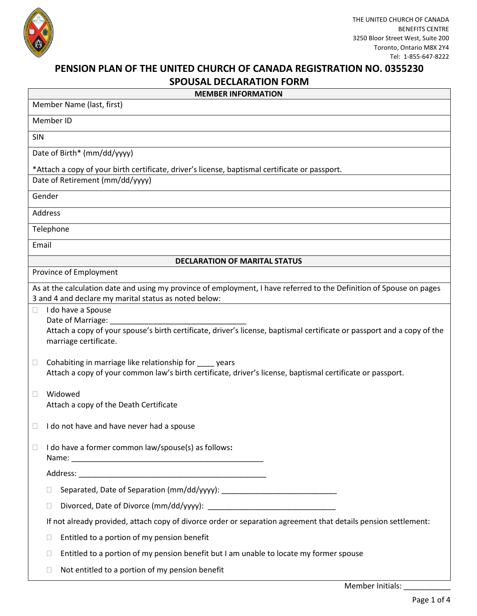

## **PENSION PLAN OF THE UNITED CHURCH OF CANADA REGISTRATION NO. 0355230**

| <b>SPOUSAL DECLARATION FORM</b> |                                                                                                                                                                               |  |  |
|---------------------------------|-------------------------------------------------------------------------------------------------------------------------------------------------------------------------------|--|--|
|                                 | <b>MEMBER INFORMATION</b>                                                                                                                                                     |  |  |
|                                 | Member Name (last, first)                                                                                                                                                     |  |  |
|                                 | Member ID                                                                                                                                                                     |  |  |
| <b>SIN</b>                      |                                                                                                                                                                               |  |  |
|                                 | Date of Birth* (mm/dd/yyyy)                                                                                                                                                   |  |  |
|                                 | *Attach a copy of your birth certificate, driver's license, baptismal certificate or passport.                                                                                |  |  |
|                                 | Date of Retirement (mm/dd/yyyy)                                                                                                                                               |  |  |
|                                 | Gender                                                                                                                                                                        |  |  |
|                                 | Address                                                                                                                                                                       |  |  |
|                                 | Telephone                                                                                                                                                                     |  |  |
|                                 | Email                                                                                                                                                                         |  |  |
|                                 | <b>DECLARATION OF MARITAL STATUS</b>                                                                                                                                          |  |  |
|                                 | Province of Employment                                                                                                                                                        |  |  |
|                                 | As at the calculation date and using my province of employment, I have referred to the Definition of Spouse on pages<br>3 and 4 and declare my marital status as noted below: |  |  |
| $\Box$                          | I do have a Spouse                                                                                                                                                            |  |  |
|                                 | Date of Marriage:<br>Attach a copy of your spouse's birth certificate, driver's license, baptismal certificate or passport and a copy of the<br>marriage certificate.         |  |  |
| $\Box$                          | Cohabiting in marriage like relationship for _____ years<br>Attach a copy of your common law's birth certificate, driver's license, baptismal certificate or passport.        |  |  |
| □                               | Widowed<br>Attach a copy of the Death Certificate                                                                                                                             |  |  |
|                                 | I do not have and have never had a spouse                                                                                                                                     |  |  |
| $\Box$                          | I do have a former common law/spouse(s) as follows:                                                                                                                           |  |  |
|                                 |                                                                                                                                                                               |  |  |
|                                 |                                                                                                                                                                               |  |  |
|                                 |                                                                                                                                                                               |  |  |
|                                 | If not already provided, attach copy of divorce order or separation agreement that details pension settlement:                                                                |  |  |
|                                 | Entitled to a portion of my pension benefit<br>Ш                                                                                                                              |  |  |
|                                 | Entitled to a portion of my pension benefit but I am unable to locate my former spouse                                                                                        |  |  |
|                                 | Not entitled to a portion of my pension benefit<br>$\mathbf{L}$                                                                                                               |  |  |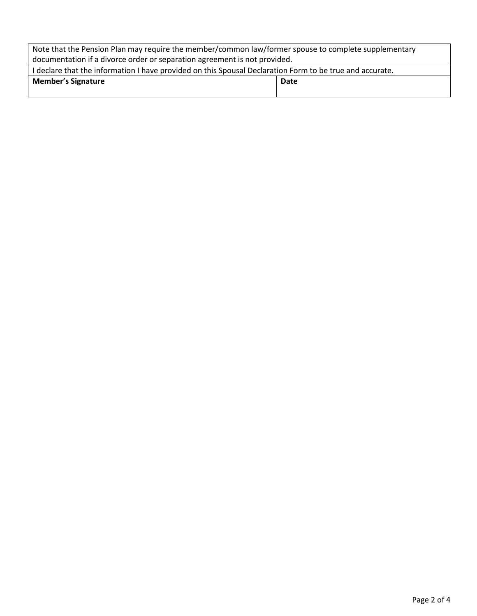| Note that the Pension Plan may require the member/common law/former spouse to complete supplementary     |      |  |  |
|----------------------------------------------------------------------------------------------------------|------|--|--|
| documentation if a divorce order or separation agreement is not provided.                                |      |  |  |
| I declare that the information I have provided on this Spousal Declaration Form to be true and accurate. |      |  |  |
| <b>Member's Signature</b>                                                                                | Date |  |  |
|                                                                                                          |      |  |  |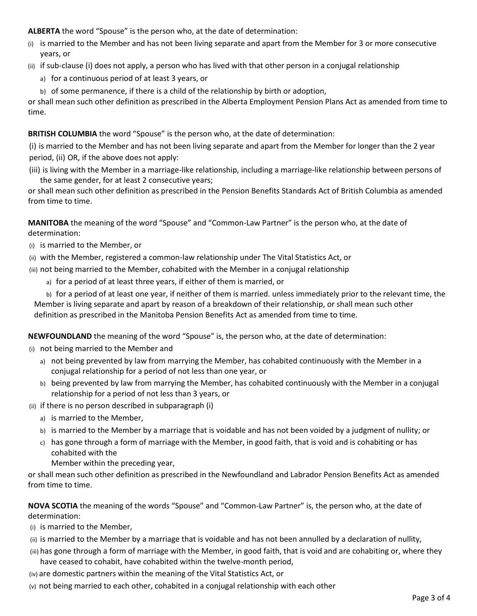**ALBERTA** the word "Spouse" is the person who, at the date of determination:

- (i) is married to the Member and has not been living separate and apart from the Member for 3 or more consecutive years, or
- (ii) if sub-clause (i) does not apply, a person who has lived with that other person in a conjugal relationship
	- a) for a continuous period of at least 3 years, or
	- b) of some permanence, if there is a child of the relationship by birth or adoption,

or shall mean such other definition as prescribed in the Alberta Employment Pension Plans Act as amended from time to time.

## **BRITISH COLUMBIA** the word "Spouse" is the person who, at the date of determination:

(i) is married to the Member and has not been living separate and apart from the Member for longer than the 2 year period, (ii) OR, if the above does not apply:

(iii) is living with the Member in a marriage-like relationship, including a marriage-like relationship between persons of the same gender, for at least 2 consecutive years;

or shall mean such other definition as prescribed in the Pension Benefits Standards Act of British Columbia as amended from time to time.

**MANITOBA** the meaning of the word "Spouse" and "Common-Law Partner" is the person who, at the date of determination:

- (i) is married to the Member, or
- (ii) with the Member, registered a common-law relationship under The Vital Statistics Act, or

(iii) not being married to the Member, cohabited with the Member in a conjugal relationship

a) for a period of at least three years, if either of them is married, or

b) for a period of at least one year, if neither of them is married. unless immediately prior to the relevant time, the Member is living separate and apart by reason of a breakdown of their relationship, or shall mean such other definition as prescribed in the Manitoba Pension Benefits Act as amended from time to time.

**NEWFOUNDLAND** the meaning of the word "Spouse" is, the person who, at the date of determination:

- (i) not being married to the Member and
	- a) not being prevented by law from marrying the Member, has cohabited continuously with the Member in a conjugal relationship for a period of not less than one year, or
	- b) being prevented by law from marrying the Member, has cohabited continuously with the Member in a conjugal relationship for a period of not less than 3 years, or

(ii) if there is no person described in subparagraph (i)

- a) is married to the Member,
- b) is married to the Member by a marriage that is voidable and has not been voided by a judgment of nullity; or
- c) has gone through a form of marriage with the Member, in good faith, that is void and is cohabiting or has cohabited with the

Member within the preceding year,

or shall mean such other definition as prescribed in the Newfoundland and Labrador Pension Benefits Act as amended from time to time.

## **NOVA SCOTIA** the meaning of the words "Spouse" and "Common-Law Partner" is, the person who, at the date of determination:

(i) is married to the Member,

- (ii) is married to the Member by a marriage that is voidable and has not been annulled by a declaration of nullity,
- (iii) has gone through a form of marriage with the Member, in good faith, that is void and are cohabiting or, where they have ceased to cohabit, have cohabited within the twelve-month period,

(iv) are domestic partners within the meaning of the Vital Statistics Act, or

(v) not being married to each other, cohabited in a conjugal relationship with each other